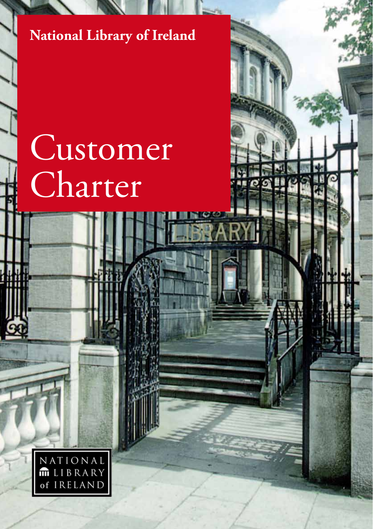#### **National Library of Ireland**

# Customer Charter

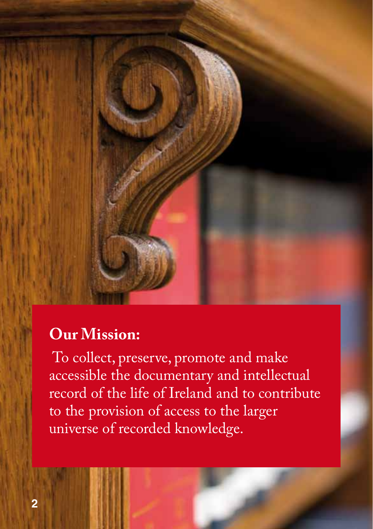

## **Our Mission:**

 To collect, preserve, promote and make accessible the documentary and intellectual record of the life of Ireland and to contribute to the provision of access to the larger universe of recorded knowledge.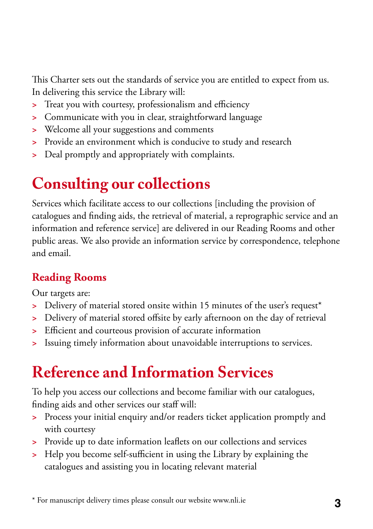This Charter sets out the standards of service you are entitled to expect from us. In delivering this service the Library will:

- **>** Treat you with courtesy, professionalism and efficiency
- **>** Communicate with you in clear, straightforward language
- **>** Welcome all your suggestions and comments
- **>** Provide an environment which is conducive to study and research
- **>** Deal promptly and appropriately with complaints.

## **Consulting our collections**

Services which facilitate access to our collections [including the provision of catalogues and finding aids, the retrieval of material, a reprographic service and an information and reference service] are delivered in our Reading Rooms and other public areas. We also provide an information service by correspondence, telephone and email.

#### **Reading Rooms**

Our targets are:

- **>** Delivery of material stored onsite within 15 minutes of the user's request\*
- **>** Delivery of material stored offsite by early afternoon on the day of retrieval
- **>** Efficient and courteous provision of accurate information
- **>** Issuing timely information about unavoidable interruptions to services.

## **Reference and Information Services**

To help you access our collections and become familiar with our catalogues, finding aids and other services our staff will:

- **>** Process your initial enquiry and/or readers ticket application promptly and with courtesy
- **>** Provide up to date information leaflets on our collections and services
- **>** Help you become self-sufficient in using the Library by explaining the catalogues and assisting you in locating relevant material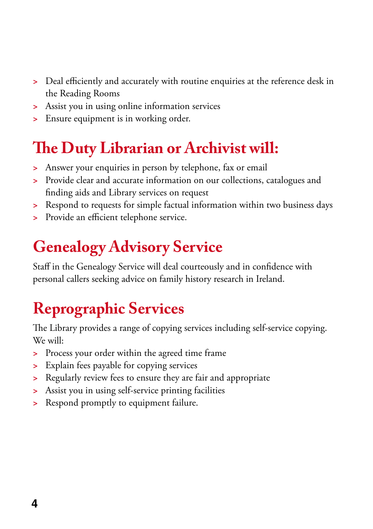- **>** Deal efficiently and accurately with routine enquiries at the reference desk in the Reading Rooms
- **>** Assist you in using online information services
- **>** Ensure equipment is in working order.

## **The Duty Librarian or Archivist will:**

- **>** Answer your enquiries in person by telephone, fax or email
- **>** Provide clear and accurate information on our collections, catalogues and finding aids and Library services on request
- **>** Respond to requests for simple factual information within two business days
- **>** Provide an efficient telephone service.

## **Genealogy Advisory Service**

Staff in the Genealogy Service will deal courteously and in confidence with personal callers seeking advice on family history research in Ireland.

# **Reprographic Services**

The Library provides a range of copying services including self-service copying. We will:

- **>** Process your order within the agreed time frame
- **>** Explain fees payable for copying services
- **>** Regularly review fees to ensure they are fair and appropriate
- **>** Assist you in using self-service printing facilities
- **>** Respond promptly to equipment failure.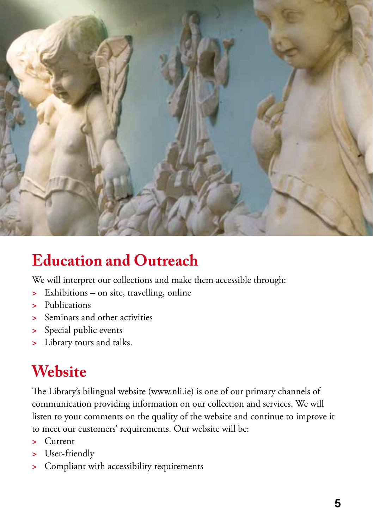

## **Education and Outreach**

We will interpret our collections and make them accessible through:

- **>** Exhibitions on site, travelling, online
- **>** Publications
- **>** Seminars and other activities
- **>** Special public events
- **>** Library tours and talks.

## **Website**

The Library's bilingual website (www.nli.ie) is one of our primary channels of communication providing information on our collection and services. We will listen to your comments on the quality of the website and continue to improve it to meet our customers' requirements. Our website will be:

- **>** Current
- **>** User-friendly
- **>** Compliant with accessibility requirements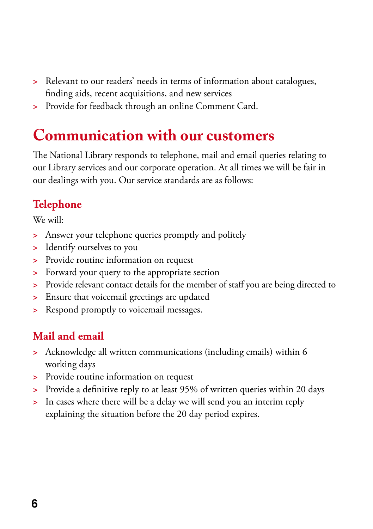- **>** Relevant to our readers' needs in terms of information about catalogues, finding aids, recent acquisitions, and new services
- **>** Provide for feedback through an online Comment Card.

#### **Communication with our customers**

The National Library responds to telephone, mail and email queries relating to our Library services and our corporate operation. At all times we will be fair in our dealings with you. Our service standards are as follows:

#### **Telephone**

We will:

- **>** Answer your telephone queries promptly and politely
- **>** Identify ourselves to you
- **>** Provide routine information on request
- **>** Forward your query to the appropriate section
- **>** Provide relevant contact details for the member of staff you are being directed to
- **>** Ensure that voicemail greetings are updated
- **>** Respond promptly to voicemail messages.

#### **Mail and email**

- **>** Acknowledge all written communications (including emails) within 6 working days
- **>** Provide routine information on request
- **>** Provide a definitive reply to at least 95% of written queries within 20 days
- **>** In cases where there will be a delay we will send you an interim reply explaining the situation before the 20 day period expires.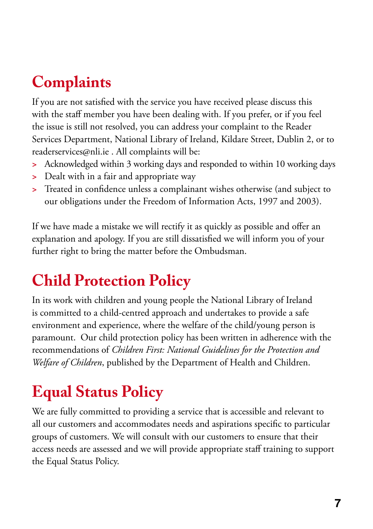## **Complaints**

If you are not satisfied with the service you have received please discuss this with the staff member you have been dealing with. If you prefer, or if you feel the issue is still not resolved, you can address your complaint to the Reader Services Department, National Library of Ireland, Kildare Street, Dublin 2, or to readerservices@nli.ie . All complaints will be:

- **>** Acknowledged within 3 working days and responded to within 10 working days
- **>** Dealt with in a fair and appropriate way
- **>** Treated in confidence unless a complainant wishes otherwise (and subject to our obligations under the Freedom of Information Acts, 1997 and 2003).

If we have made a mistake we will rectify it as quickly as possible and offer an explanation and apology. If you are still dissatisfied we will inform you of your further right to bring the matter before the Ombudsman.

## **Child Protection Policy**

In its work with children and young people the National Library of Ireland is committed to a child-centred approach and undertakes to provide a safe environment and experience, where the welfare of the child/young person is paramount. Our child protection policy has been written in adherence with the recommendations of *Children First: National Guidelines for the Protection and Welfare of Children*, published by the Department of Health and Children.

# **Equal Status Policy**

We are fully committed to providing a service that is accessible and relevant to all our customers and accommodates needs and aspirations specific to particular groups of customers. We will consult with our customers to ensure that their access needs are assessed and we will provide appropriate staff training to support the Equal Status Policy.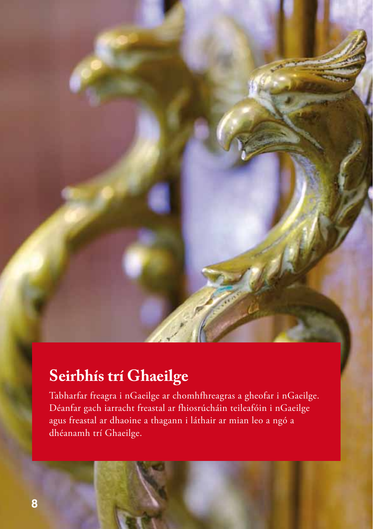### **Seirbhís trí Ghaeilge**

Tabharfar freagra i nGaeilge ar chomhfhreagras a gheofar i nGaeilge. Déanfar gach iarracht freastal ar fhiosrúcháin teileafóin i nGaeilge agus freastal ar dhaoine a thagann i láthair ar mian leo a ngó a dhéanamh trí Ghaeilge.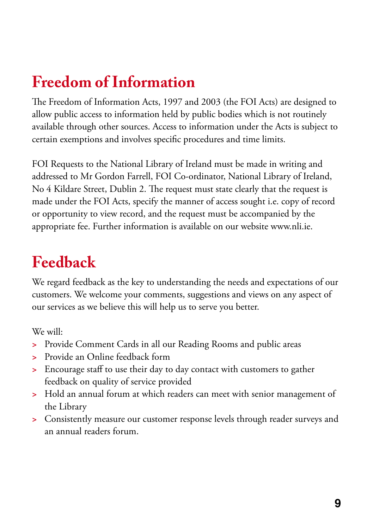## **Freedom of Information**

The Freedom of Information Acts, 1997 and 2003 (the FOI Acts) are designed to allow public access to information held by public bodies which is not routinely available through other sources. Access to information under the Acts is subject to certain exemptions and involves specific procedures and time limits.

FOI Requests to the National Library of Ireland must be made in writing and addressed to Mr Gordon Farrell, FOI Co-ordinator, National Library of Ireland, No 4 Kildare Street, Dublin 2. The request must state clearly that the request is made under the FOI Acts, specify the manner of access sought i.e. copy of record or opportunity to view record, and the request must be accompanied by the appropriate fee. Further information is available on our website www.nli.ie.

## **Feedback**

We regard feedback as the key to understanding the needs and expectations of our customers. We welcome your comments, suggestions and views on any aspect of our services as we believe this will help us to serve you better.

We will:

- **>** Provide Comment Cards in all our Reading Rooms and public areas
- **>** Provide an Online feedback form
- **>** Encourage staff to use their day to day contact with customers to gather feedback on quality of service provided
- **>** Hold an annual forum at which readers can meet with senior management of the Library
- **>** Consistently measure our customer response levels through reader surveys and an annual readers forum.